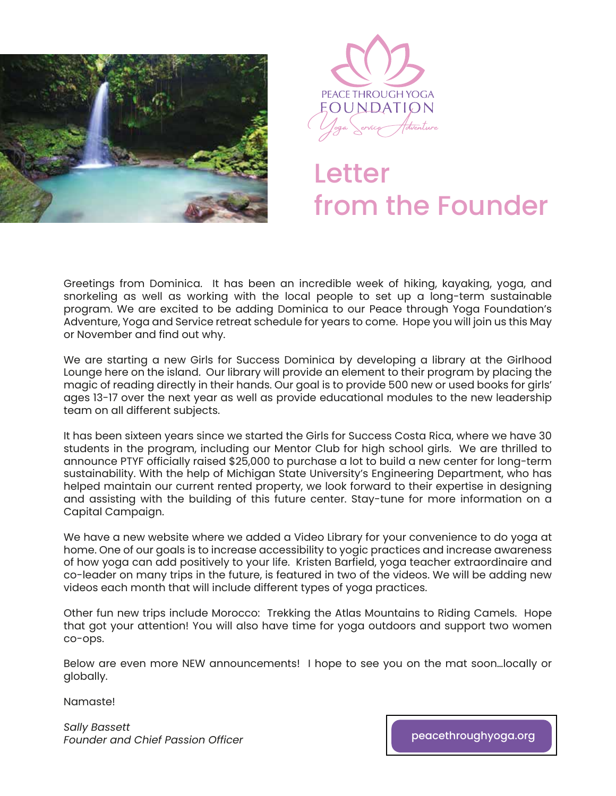



# **Letter** from the Founder

Greetings from Dominica. It has been an incredible week of hiking, kayaking, yoga, and snorkeling as well as working with the local people to set up a long-term sustainable program. We are excited to be adding Dominica to our Peace through Yoga Foundation's Adventure, Yoga and Service retreat schedule for years to come. Hope you will join us this May or November and find out why.

We are starting a new Girls for Success Dominica by developing a library at the Girlhood Lounge here on the island. Our library will provide an element to their program by placing the magic of reading directly in their hands. Our goal is to provide 500 new or used books for girls' ages 13-17 over the next year as well as provide educational modules to the new leadership team on all different subjects.

It has been sixteen years since we started the Girls for Success Costa Rica, where we have 30 students in the program, including our Mentor Club for high school girls. We are thrilled to announce PTYF officially raised \$25,000 to purchase a lot to build a new center for long-term sustainability. With the help of Michigan State University's Engineering Department, who has helped maintain our current rented property, we look forward to their expertise in designing and assisting with the building of this future center. Stay-tune for more information on a Capital Campaign.

We have a new website where we added a Video Library for your convenience to do yoga at home. One of our goals is to increase accessibility to yogic practices and increase awareness of how yoga can add positively to your life. Kristen Barfield, yoga teacher extraordinaire and co-leader on many trips in the future, is featured in two of the videos. We will be adding new videos each month that will include different types of yoga practices.

Other fun new trips include Morocco: Trekking the Atlas Mountains to Riding Camels. Hope that got your attention! You will also have time for yoga outdoors and support two women co-ops.

Below are even more NEW announcements! I hope to see you on the mat soon…locally or globally.

Namaste!

*Sally Bassett Founder and Chief Passion Officer* [peacethroughyoga.org](https://www.peacethroughyoga.org/)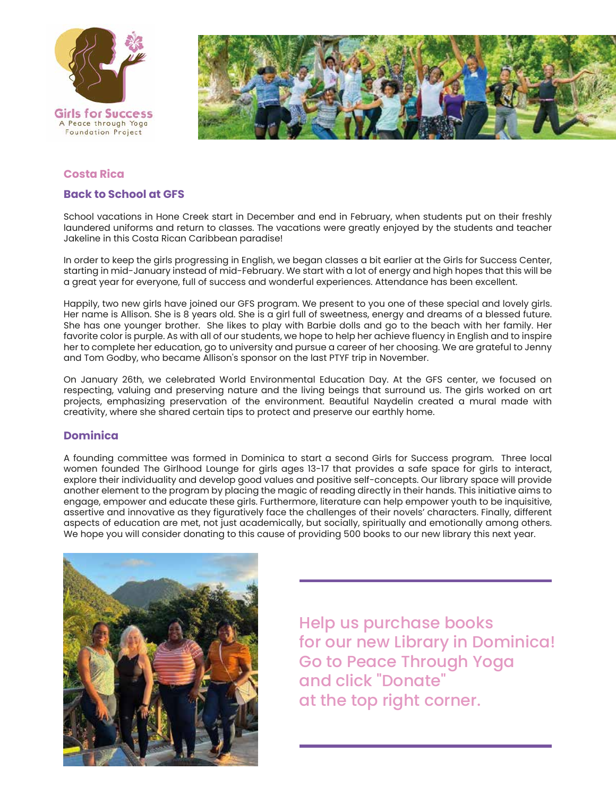



### **Costa Rica**

#### **Back to School at GFS**

School vacations in Hone Creek start in December and end in February, when students put on their freshly laundered uniforms and return to classes. The vacations were greatly enjoyed by the students and teacher Jakeline in this Costa Rican Caribbean paradise!

In order to keep the girls progressing in English, we began classes a bit earlier at the Girls for Success Center, starting in mid-January instead of mid-February. We start with a lot of energy and high hopes that this will be a great year for everyone, full of success and wonderful experiences. Attendance has been excellent.

Happily, two new girls have joined our GFS program. We present to you one of these special and lovely girls. Her name is Allison. She is 8 years old. She is a girl full of sweetness, energy and dreams of a blessed future. She has one younger brother. She likes to play with Barbie dolls and go to the beach with her family. Her favorite color is purple. As with all of our students, we hope to help her achieve fluency in English and to inspire her to complete her education, go to university and pursue a career of her choosing. We are grateful to Jenny and Tom Godby, who became Allison's sponsor on the last PTYF trip in November.

On January 26th, we celebrated World Environmental Education Day. At the GFS center, we focused on respecting, valuing and preserving nature and the living beings that surround us. The girls worked on art projects, emphasizing preservation of the environment. Beautiful Naydelin created a mural made with creativity, where she shared certain tips to protect and preserve our earthly home.

### **Dominica**

A founding committee was formed in Dominica to start a second Girls for Success program. Three local women founded The Girlhood Lounge for girls ages 13-17 that provides a safe space for girls to interact, explore their individuality and develop good values and positive self-concepts. Our library space will provide another element to the program by placing the magic of reading directly in their hands. This initiative aims to engage, empower and educate these girls. Furthermore, literature can help empower youth to be inquisitive, assertive and innovative as they figuratively face the challenges of their novels' characters. Finally, different aspects of education are met, not just academically, but socially, spiritually and emotionally among others. We hope you will consider donating to this cause of providing 500 books to our new library this next year.



Help us purchase books for our new Library in Dominica! Go to Peace Through Yoga and click "Donate" at the top right corner.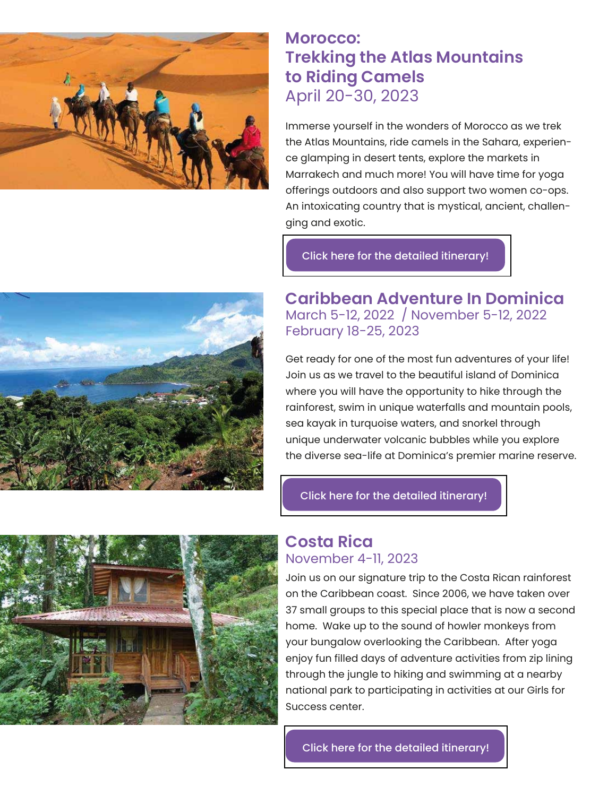

# **Morocco: Trekking the Atlas Mountains to Riding Camels** April 20-30, 2023

Immerse yourself in the wonders of Morocco as we trek the Atlas Mountains, ride camels in the Sahara, experience glamping in desert tents, explore the markets in Marrakech and much more! You will have time for yoga offerings outdoors and also support two women co-ops. An intoxicating country that is mystical, ancient, challenging and exotic.

[Click here for the detailed itinerary!](https://www.peacethroughyoga.org/retreat-morocco)



**Caribbean Adventure In Dominica** March 5-12, 2022 / November 5-12, 2022 February 18-25, 2023

Get ready for one of the most fun adventures of your life! Join us as we travel to the beautiful island of Dominica where you will have the opportunity to hike through the rainforest, swim in unique waterfalls and mountain pools, sea kayak in turquoise waters, and snorkel through unique underwater volcanic bubbles while you explore the diverse sea-life at Dominica's premier marine reserve.

[Click here for the detailed itinerary!](https://www.peacethroughyoga.org/retreat-dominica)



## **Costa Rica** November 4-11, 2023

Join us on our signature trip to the Costa Rican rainforest on the Caribbean coast. Since 2006, we have taken over 37 small groups to this special place that is now a second home. Wake up to the sound of howler monkeys from your bungalow overlooking the Caribbean. After yoga enjoy fun filled days of adventure activities from zip lining through the jungle to hiking and swimming at a nearby national park to participating in activities at our Girls for Success center.